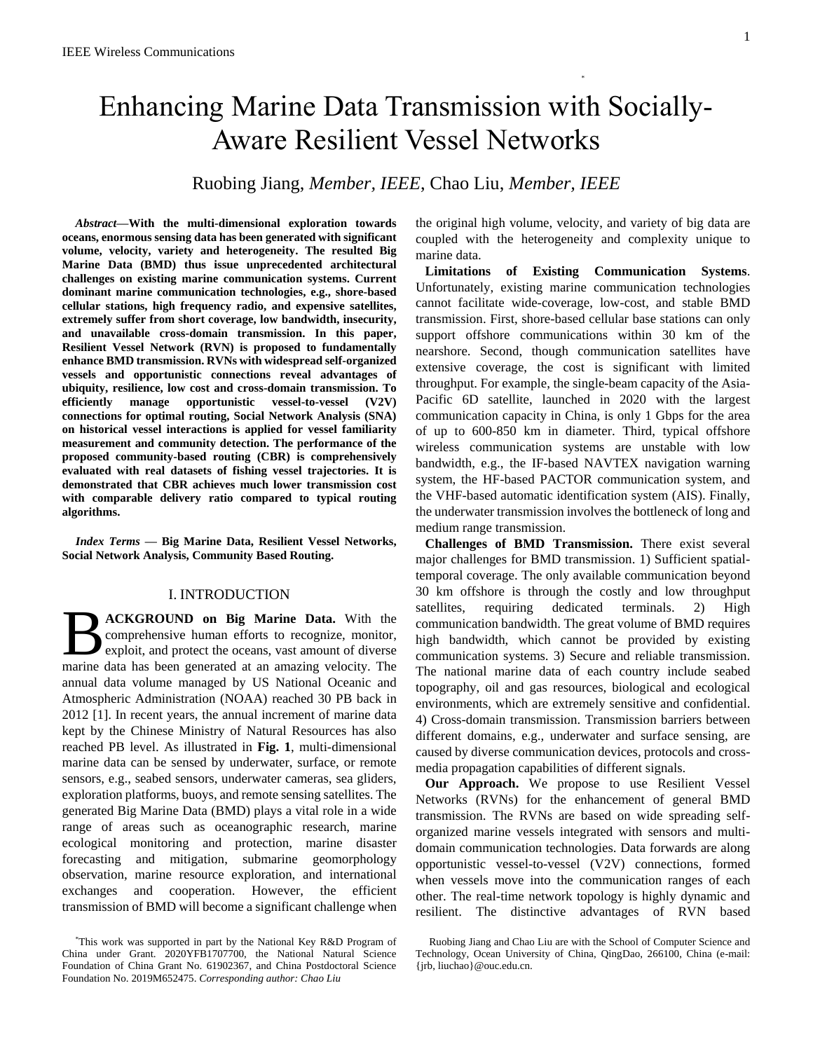# Enhancing Marine Data Transmission with Socially-Aware Resilient Vessel Networks

Ruobing Jiang, *Member, IEEE*, Chao Liu, *Member, IEEE*

*Abstract***—With the multi-dimensional exploration towards oceans, enormous sensing data has been generated with significant volume, velocity, variety and heterogeneity. The resulted Big Marine Data (BMD) thus issue unprecedented architectural challenges on existing marine communication systems. Current dominant marine communication technologies, e.g., shore-based cellular stations, high frequency radio, and expensive satellites, extremely suffer from short coverage, low bandwidth, insecurity, and unavailable cross-domain transmission. In this paper, Resilient Vessel Network (RVN) is proposed to fundamentally enhance BMD transmission. RVNs with widespread self-organized vessels and opportunistic connections reveal advantages of ubiquity, resilience, low cost and cross-domain transmission. To efficiently manage opportunistic vessel-to-vessel (V2V) connections for optimal routing, Social Network Analysis (SNA) on historical vessel interactions is applied for vessel familiarity measurement and community detection. The performance of the proposed community-based routing (CBR) is comprehensively evaluated with real datasets of fishing vessel trajectories. It is demonstrated that CBR achieves much lower transmission cost with comparable delivery ratio compared to typical routing algorithms.**

*Index Terms* **— Big Marine Data, Resilient Vessel Networks, Social Network Analysis, Community Based Routing.**

# I. INTRODUCTION

**ACKGROUND on Big Marine Data.** With the comprehensive human efforts to recognize, monitor, exploit, and protect the oceans, vast amount of diverse **MACKGROUND on Big Marine Data.** With the comprehensive human efforts to recognize, monitor, exploit, and protect the oceans, vast amount of diverse marine data has been generated at an amazing velocity. The annual data volume managed by US National Oceanic and Atmospheric Administration (NOAA) reached 30 PB back in 2012 [1]. In recent years, the annual increment of marine data kept by the Chinese Ministry of Natural Resources has also reached PB level. As illustrated in **[Fig. 1](#page-1-0)**, multi-dimensional marine data can be sensed by underwater, surface, or remote sensors, e.g., seabed sensors, underwater cameras, sea gliders, exploration platforms, buoys, and remote sensing satellites. The generated Big Marine Data (BMD) plays a vital role in a wide range of areas such as oceanographic research, marine ecological monitoring and protection, marine disaster forecasting and mitigation, submarine geomorphology observation, marine resource exploration, and international exchanges and cooperation. However, the efficient transmission of BMD will become a significant challenge when

the original high volume, velocity, and variety of big data are coupled with the heterogeneity and complexity unique to marine data.

\*

**Limitations of Existing Communication Systems**. Unfortunately, existing marine communication technologies cannot facilitate wide-coverage, low-cost, and stable BMD transmission. First, shore-based cellular base stations can only support offshore communications within 30 km of the nearshore. Second, though communication satellites have extensive coverage, the cost is significant with limited throughput. For example, the single-beam capacity of the Asia-Pacific 6D satellite, launched in 2020 with the largest communication capacity in China, is only 1 Gbps for the area of up to 600-850 km in diameter. Third, typical offshore wireless communication systems are unstable with low bandwidth, e.g., the IF-based NAVTEX navigation warning system, the HF-based PACTOR communication system, and the VHF-based automatic identification system (AIS). Finally, the underwater transmission involves the bottleneck of long and medium range transmission.

**Challenges of BMD Transmission.** There exist several major challenges for BMD transmission. 1) Sufficient spatialtemporal coverage. The only available communication beyond 30 km offshore is through the costly and low throughput satellites, requiring dedicated terminals. 2) High communication bandwidth. The great volume of BMD requires high bandwidth, which cannot be provided by existing communication systems. 3) Secure and reliable transmission. The national marine data of each country include seabed topography, oil and gas resources, biological and ecological environments, which are extremely sensitive and confidential. 4) Cross-domain transmission. Transmission barriers between different domains, e.g., underwater and surface sensing, are caused by diverse communication devices, protocols and crossmedia propagation capabilities of different signals.

**Our Approach.** We propose to use Resilient Vessel Networks (RVNs) for the enhancement of general BMD transmission. The RVNs are based on wide spreading selforganized marine vessels integrated with sensors and multidomain communication technologies. Data forwards are along opportunistic vessel-to-vessel (V2V) connections, formed when vessels move into the communication ranges of each other. The real-time network topology is highly dynamic and resilient. The distinctive advantages of RVN based

<sup>\*</sup>This work was supported in part by the National Key R&D Program of China under Grant. 2020YFB1707700, the National Natural Science Foundation of China Grant No. 61902367, and China Postdoctoral Science Foundation No. 2019M652475. *Corresponding author: Chao Liu*

Ruobing Jiang and Chao Liu are with the School of Computer Science and Technology, Ocean University of China, QingDao, 266100, China (e-mail: {jrb, liuchao}@ouc.edu.cn.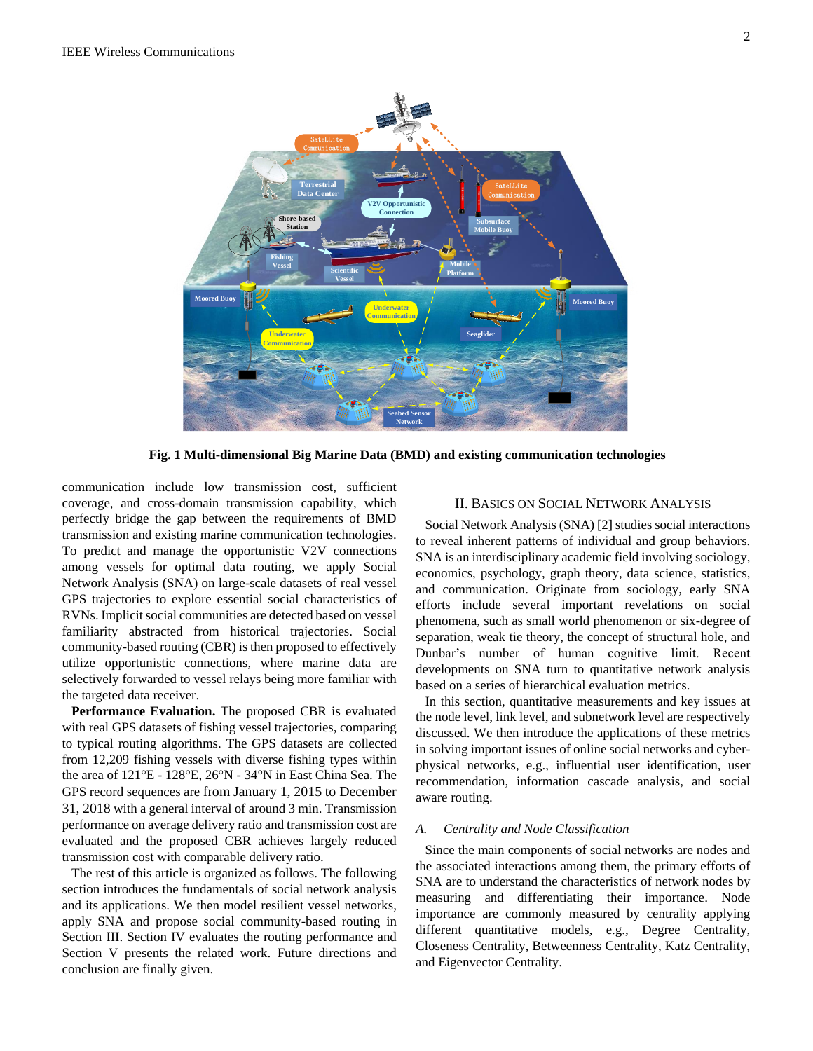

<span id="page-1-0"></span>**Fig. 1 Multi-dimensional Big Marine Data (BMD) and existing communication technologies**

communication include low transmission cost, sufficient coverage, and cross-domain transmission capability, which perfectly bridge the gap between the requirements of BMD transmission and existing marine communication technologies. To predict and manage the opportunistic V2V connections among vessels for optimal data routing, we apply Social Network Analysis (SNA) on large-scale datasets of real vessel GPS trajectories to explore essential social characteristics of RVNs. Implicit social communities are detected based on vessel familiarity abstracted from historical trajectories. Social community-based routing (CBR) is then proposed to effectively utilize opportunistic connections, where marine data are selectively forwarded to vessel relays being more familiar with the targeted data receiver.

**Performance Evaluation.** The proposed CBR is evaluated with real GPS datasets of fishing vessel trajectories, comparing to typical routing algorithms. The GPS datasets are collected from 12,209 fishing vessels with diverse fishing types within the area of 121°E - 128°E, 26°N - 34°N in East China Sea. The GPS record sequences are from January 1, 2015 to December 31, 2018 with a general interval of around 3 min. Transmission performance on average delivery ratio and transmission cost are evaluated and the proposed CBR achieves largely reduced transmission cost with comparable delivery ratio.

The rest of this article is organized as follows. The following section introduces the fundamentals of social network analysis and its applications. We then model resilient vessel networks, apply SNA and propose social community-based routing in Section III. Section IV evaluates the routing performance and Section V presents the related work. Future directions and conclusion are finally given.

# II. BASICS ON SOCIAL NETWORK ANALYSIS

Social Network Analysis (SNA) [2] studies social interactions to reveal inherent patterns of individual and group behaviors. SNA is an interdisciplinary academic field involving sociology, economics, psychology, graph theory, data science, statistics, and communication. Originate from sociology, early SNA efforts include several important revelations on social phenomena, such as small world phenomenon or six-degree of separation, weak tie theory, the concept of structural hole, and Dunbar's number of human cognitive limit. Recent developments on SNA turn to quantitative network analysis based on a series of hierarchical evaluation metrics.

In this section, quantitative measurements and key issues at the node level, link level, and subnetwork level are respectively discussed. We then introduce the applications of these metrics in solving important issues of online social networks and cyberphysical networks, e.g., influential user identification, user recommendation, information cascade analysis, and social aware routing.

# *A. Centrality and Node Classification*

Since the main components of social networks are nodes and the associated interactions among them, the primary efforts of SNA are to understand the characteristics of network nodes by measuring and differentiating their importance. Node importance are commonly measured by centrality applying different quantitative models, e.g., Degree Centrality, Closeness Centrality, Betweenness Centrality, Katz Centrality, and Eigenvector Centrality.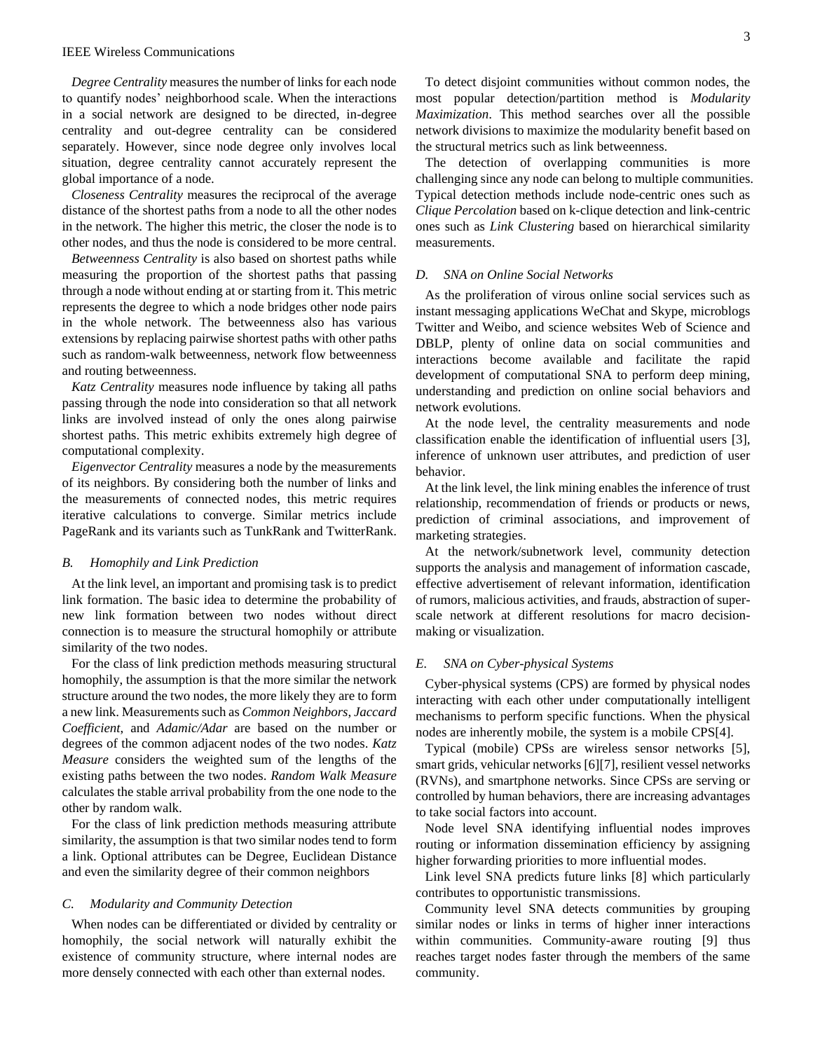*Degree Centrality* measures the number of links for each node to quantify nodes' neighborhood scale. When the interactions in a social network are designed to be directed, in-degree centrality and out-degree centrality can be considered separately. However, since node degree only involves local situation, degree centrality cannot accurately represent the global importance of a node.

*Closeness Centrality* measures the reciprocal of the average distance of the shortest paths from a node to all the other nodes in the network. The higher this metric, the closer the node is to other nodes, and thus the node is considered to be more central.

*Betweenness Centrality* is also based on shortest paths while measuring the proportion of the shortest paths that passing through a node without ending at or starting from it. This metric represents the degree to which a node bridges other node pairs in the whole network. The betweenness also has various extensions by replacing pairwise shortest paths with other paths such as random-walk betweenness, network flow betweenness and routing betweenness.

*Katz Centrality* measures node influence by taking all paths passing through the node into consideration so that all network links are involved instead of only the ones along pairwise shortest paths. This metric exhibits extremely high degree of computational complexity.

*Eigenvector Centrality* measures a node by the measurements of its neighbors. By considering both the number of links and the measurements of connected nodes, this metric requires iterative calculations to converge. Similar metrics include PageRank and its variants such as TunkRank and TwitterRank.

#### *B. Homophily and Link Prediction*

At the link level, an important and promising task is to predict link formation. The basic idea to determine the probability of new link formation between two nodes without direct connection is to measure the structural homophily or attribute similarity of the two nodes.

For the class of link prediction methods measuring structural homophily, the assumption is that the more similar the network structure around the two nodes, the more likely they are to form a new link. Measurements such as *Common Neighbors*, *Jaccard Coefficient*, and *Adamic/Adar* are based on the number or degrees of the common adjacent nodes of the two nodes. *Katz Measure* considers the weighted sum of the lengths of the existing paths between the two nodes. *Random Walk Measure* calculates the stable arrival probability from the one node to the other by random walk.

For the class of link prediction methods measuring attribute similarity, the assumption is that two similar nodes tend to form a link. Optional attributes can be Degree, Euclidean Distance and even the similarity degree of their common neighbors

#### *C. Modularity and Community Detection*

When nodes can be differentiated or divided by centrality or homophily, the social network will naturally exhibit the existence of community structure, where internal nodes are more densely connected with each other than external nodes.

To detect disjoint communities without common nodes, the most popular detection/partition method is *Modularity Maximization*. This method searches over all the possible network divisions to maximize the modularity benefit based on the structural metrics such as link betweenness.

The detection of overlapping communities is more challenging since any node can belong to multiple communities. Typical detection methods include node-centric ones such as *Clique Percolation* based on k-clique detection and link-centric ones such as *Link Clustering* based on hierarchical similarity measurements.

# *D. SNA on Online Social Networks*

As the proliferation of virous online social services such as instant messaging applications WeChat and Skype, microblogs Twitter and Weibo, and science websites Web of Science and DBLP, plenty of online data on social communities and interactions become available and facilitate the rapid development of computational SNA to perform deep mining, understanding and prediction on online social behaviors and network evolutions.

At the node level, the centrality measurements and node classification enable the identification of influential users [3], inference of unknown user attributes, and prediction of user behavior.

At the link level, the link mining enables the inference of trust relationship, recommendation of friends or products or news, prediction of criminal associations, and improvement of marketing strategies.

At the network/subnetwork level, community detection supports the analysis and management of information cascade, effective advertisement of relevant information, identification of rumors, malicious activities, and frauds, abstraction of superscale network at different resolutions for macro decisionmaking or visualization.

# *E. SNA on Cyber-physical Systems*

Cyber-physical systems (CPS) are formed by physical nodes interacting with each other under computationally intelligent mechanisms to perform specific functions. When the physical nodes are inherently mobile, the system is a mobile CPS[4].

Typical (mobile) CPSs are wireless sensor networks [5], smart grids, vehicular networks [6][7], resilient vessel networks (RVNs), and smartphone networks. Since CPSs are serving or controlled by human behaviors, there are increasing advantages to take social factors into account.

Node level SNA identifying influential nodes improves routing or information dissemination efficiency by assigning higher forwarding priorities to more influential modes.

Link level SNA predicts future links [8] which particularly contributes to opportunistic transmissions.

Community level SNA detects communities by grouping similar nodes or links in terms of higher inner interactions within communities. Community-aware routing [9] thus reaches target nodes faster through the members of the same community.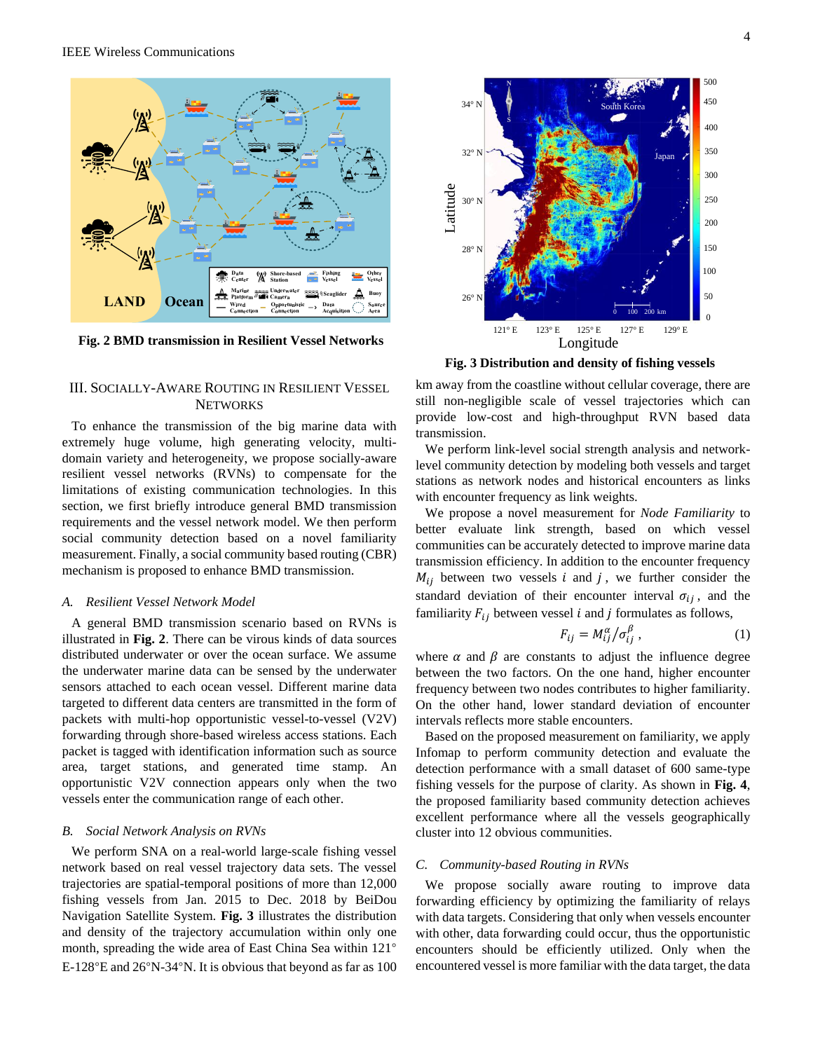

<span id="page-3-0"></span>**Fig. 2 BMD transmission in Resilient Vessel Networks**

# III. SOCIALLY-AWARE ROUTING IN RESILIENT VESSEL **NETWORKS**

To enhance the transmission of the big marine data with extremely huge volume, high generating velocity, multidomain variety and heterogeneity, we propose socially-aware resilient vessel networks (RVNs) to compensate for the limitations of existing communication technologies. In this section, we first briefly introduce general BMD transmission requirements and the vessel network model. We then perform social community detection based on a novel familiarity measurement. Finally, a social community based routing (CBR) mechanism is proposed to enhance BMD transmission.

# *A. Resilient Vessel Network Model*

A general BMD transmission scenario based on RVNs is illustrated in **[Fig. 2](#page-3-0)**. There can be virous kinds of data sources distributed underwater or over the ocean surface. We assume the underwater marine data can be sensed by the underwater sensors attached to each ocean vessel. Different marine data targeted to different data centers are transmitted in the form of packets with multi-hop opportunistic vessel-to-vessel (V2V) forwarding through shore-based wireless access stations. Each packet is tagged with identification information such as source area, target stations, and generated time stamp. An opportunistic V2V connection appears only when the two vessels enter the communication range of each other.

# *B. Social Network Analysis on RVNs*

We perform SNA on a real-world large-scale fishing vessel network based on real vessel trajectory data sets. The vessel trajectories are spatial-temporal positions of more than 12,000 fishing vessels from Jan. 2015 to Dec. 2018 by BeiDou Navigation Satellite System. **[Fig. 3](#page-3-1)** illustrates the distribution and density of the trajectory accumulation within only one month, spreading the wide area of East China Sea within 121° E-128°E and 26°N-34°N. It is obvious that beyond as far as 100



<span id="page-3-1"></span>**Fig. 3 Distribution and density of fishing vessels**

km away from the coastline without cellular coverage, there are still non-negligible scale of vessel trajectories which can provide low-cost and high-throughput RVN based data transmission.

We perform link-level social strength analysis and networklevel community detection by modeling both vessels and target stations as network nodes and historical encounters as links with encounter frequency as link weights.

We propose a novel measurement for *Node Familiarity* to better evaluate link strength, based on which vessel communities can be accurately detected to improve marine data transmission efficiency. In addition to the encounter frequency  $M_{ij}$  between two vessels *i* and *j*, we further consider the standard deviation of their encounter interval  $\sigma_{ij}$ , and the familiarity  $F_{ij}$  between vessel *i* and *j* formulates as follows,

$$
F_{ij} = M_{ij}^{\alpha} / \sigma_{ij}^{\beta} , \qquad (1)
$$

where  $\alpha$  and  $\beta$  are constants to adjust the influence degree between the two factors. On the one hand, higher encounter frequency between two nodes contributes to higher familiarity. On the other hand, lower standard deviation of encounter intervals reflects more stable encounters.

Based on the proposed measurement on familiarity, we apply Infomap to perform community detection and evaluate the detection performance with a small dataset of 600 same-type fishing vessels for the purpose of clarity. As shown in **[Fig. 4](#page-4-0)**, the proposed familiarity based community detection achieves excellent performance where all the vessels geographically cluster into 12 obvious communities.

#### *C. Community-based Routing in RVNs*

We propose socially aware routing to improve data forwarding efficiency by optimizing the familiarity of relays with data targets. Considering that only when vessels encounter with other, data forwarding could occur, thus the opportunistic encounters should be efficiently utilized. Only when the encountered vessel is more familiar with the data target, the data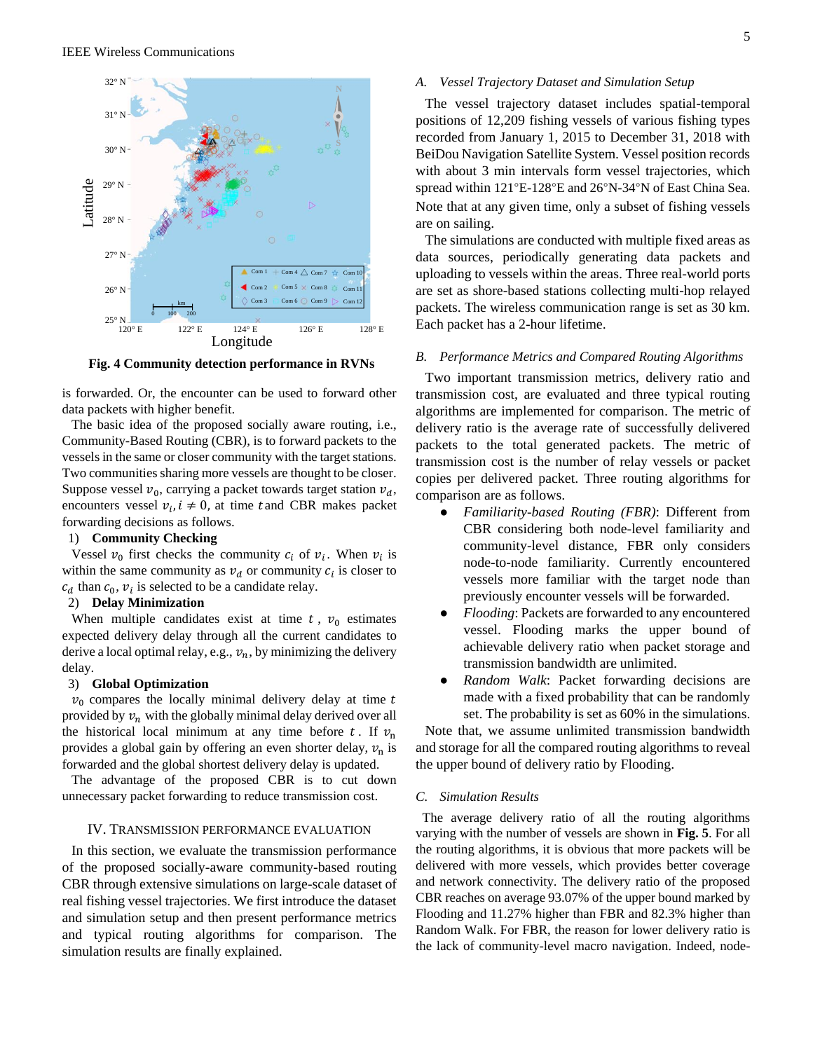

<span id="page-4-0"></span>**Fig. 4 Community detection performance in RVNs**

is forwarded. Or, the encounter can be used to forward other data packets with higher benefit.

The basic idea of the proposed socially aware routing, i.e., Community-Based Routing (CBR), is to forward packets to the vessels in the same or closer community with the target stations. Two communities sharing more vessels are thought to be closer. Suppose vessel  $v_0$ , carrying a packet towards target station  $v_d$ , encounters vessel  $v_i$ ,  $i \neq 0$ , at time t and CBR makes packet forwarding decisions as follows.

# 1) **Community Checking**

Vessel  $v_0$  first checks the community  $c_i$  of  $v_i$ . When  $v_i$  is within the same community as  $v_d$  or community  $c_i$  is closer to  $c_d$  than  $c_0$ ,  $v_i$  is selected to be a candidate relay.

#### 2) **Delay Minimization**

When multiple candidates exist at time  $t$ ,  $v_0$  estimates expected delivery delay through all the current candidates to derive a local optimal relay, e.g.,  $v_n$ , by minimizing the delivery delay.

#### 3) **Global Optimization**

 $v_0$  compares the locally minimal delivery delay at time  $t$ provided by  $v_n$  with the globally minimal delay derived over all the historical local minimum at any time before t. If  $v_n$ provides a global gain by offering an even shorter delay,  $v_n$  is forwarded and the global shortest delivery delay is updated.

The advantage of the proposed CBR is to cut down unnecessary packet forwarding to reduce transmission cost.

#### IV. TRANSMISSION PERFORMANCE EVALUATION

In this section, we evaluate the transmission performance of the proposed socially-aware community-based routing CBR through extensive simulations on large-scale dataset of real fishing vessel trajectories. We first introduce the dataset and simulation setup and then present performance metrics and typical routing algorithms for comparison. The simulation results are finally explained.

# *A. Vessel Trajectory Dataset and Simulation Setup*

The vessel trajectory dataset includes spatial-temporal positions of 12,209 fishing vessels of various fishing types recorded from January 1, 2015 to December 31, 2018 with BeiDou Navigation Satellite System. Vessel position records with about 3 min intervals form vessel trajectories, which spread within 121°E-128°E and 26°N-34°N of East China Sea. Note that at any given time, only a subset of fishing vessels are on sailing.

The simulations are conducted with multiple fixed areas as data sources, periodically generating data packets and uploading to vessels within the areas. Three real-world ports are set as shore-based stations collecting multi-hop relayed packets. The wireless communication range is set as 30 km. Each packet has a 2-hour lifetime.

# *B. Performance Metrics and Compared Routing Algorithms*

Two important transmission metrics, delivery ratio and transmission cost, are evaluated and three typical routing algorithms are implemented for comparison. The metric of delivery ratio is the average rate of successfully delivered packets to the total generated packets. The metric of transmission cost is the number of relay vessels or packet copies per delivered packet. Three routing algorithms for comparison are as follows.

- *Familiarity-based Routing (FBR)*: Different from CBR considering both node-level familiarity and community-level distance, FBR only considers node-to-node familiarity. Currently encountered vessels more familiar with the target node than previously encounter vessels will be forwarded.
- *Flooding*: Packets are forwarded to any encountered vessel. Flooding marks the upper bound of achievable delivery ratio when packet storage and transmission bandwidth are unlimited.
- *Random Walk*: Packet forwarding decisions are made with a fixed probability that can be randomly set. The probability is set as 60% in the simulations.

Note that, we assume unlimited transmission bandwidth and storage for all the compared routing algorithms to reveal the upper bound of delivery ratio by Flooding.

# *C. Simulation Results*

The average delivery ratio of all the routing algorithms varying with the number of vessels are shown in **[Fig. 5](#page-5-0)**. For all the routing algorithms, it is obvious that more packets will be delivered with more vessels, which provides better coverage and network connectivity. The delivery ratio of the proposed CBR reaches on average 93.07% of the upper bound marked by Flooding and 11.27% higher than FBR and 82.3% higher than Random Walk. For FBR, the reason for lower delivery ratio is the lack of community-level macro navigation. Indeed, node-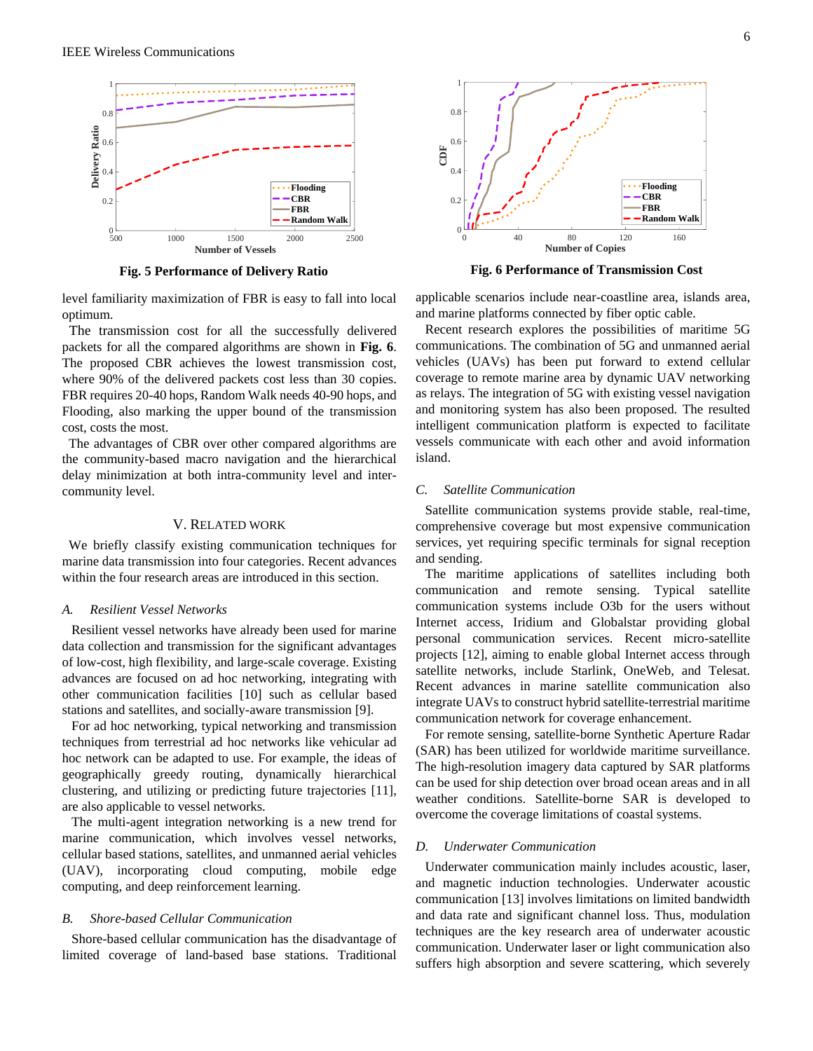

**Fig. 5 Performance of Delivery Ratio**

<span id="page-5-0"></span>level familiarity maximization of FBR is easy to fall into local optimum.

The transmission cost for all the successfully delivered packets for all the compared algorithms are shown in **[Fig.](#page-5-1) 6**. The proposed CBR achieves the lowest transmission cost, where 90% of the delivered packets cost less than 30 copies. FBR requires 20-40 hops, Random Walk needs 40-90 hops, and Flooding, also marking the upper bound of the transmission cost, costs the most.

The advantages of CBR over other compared algorithms are the community-based macro navigation and the hierarchical delay minimization at both intra-community level and intercommunity level.

#### V. RELATED WORK

We briefly classify existing communication techniques for marine data transmission into four categories. Recent advances within the four research areas are introduced in this section.

#### *A. Resilient Vessel Networks*

Resilient vessel networks have already been used for marine data collection and transmission for the significant advantages of low-cost, high flexibility, and large-scale coverage. Existing advances are focused on ad hoc networking, integrating with other communication facilities [10] such as cellular based stations and satellites, and socially-aware transmission [9].

For ad hoc networking, typical networking and transmission techniques from terrestrial ad hoc networks like vehicular ad hoc network can be adapted to use. For example, the ideas of geographically greedy routing, dynamically hierarchical clustering, and utilizing or predicting future trajectories [11], are also applicable to vessel networks.

The multi-agent integration networking is a new trend for marine communication, which involves vessel networks, cellular based stations, satellites, and unmanned aerial vehicles (UAV), incorporating cloud computing, mobile edge computing, and deep reinforcement learning.

# *B. Shore-based Cellular Communication*

Shore-based cellular communication has the disadvantage of limited coverage of land-based base stations. Traditional



<span id="page-5-1"></span>**Fig. 6 Performance of Transmission Cost**

applicable scenarios include near-coastline area, islands area, and marine platforms connected by fiber optic cable.

Recent research explores the possibilities of maritime 5G communications. The combination of 5G and unmanned aerial vehicles (UAVs) has been put forward to extend cellular coverage to remote marine area by dynamic UAV networking as relays. The integration of 5G with existing vessel navigation and monitoring system has also been proposed. The resulted intelligent communication platform is expected to facilitate vessels communicate with each other and avoid information island.

# *C. Satellite Communication*

Satellite communication systems provide stable, real-time, comprehensive coverage but most expensive communication services, yet requiring specific terminals for signal reception and sending.

The maritime applications of satellites including both communication and remote sensing. Typical satellite communication systems include O3b for the users without Internet access, Iridium and Globalstar providing global personal communication services. Recent micro-satellite projects [12], aiming to enable global Internet access through satellite networks, include Starlink, OneWeb, and Telesat. Recent advances in marine satellite communication also integrate UAVs to construct hybrid satellite-terrestrial maritime communication network for coverage enhancement.

For remote sensing, satellite-borne Synthetic Aperture Radar (SAR) has been utilized for worldwide maritime surveillance. The high-resolution imagery data captured by SAR platforms can be used for ship detection over broad ocean areas and in all weather conditions. Satellite-borne SAR is developed to overcome the coverage limitations of coastal systems.

#### *D. Underwater Communication*

Underwater communication mainly includes acoustic, laser, and magnetic induction technologies. Underwater acoustic communication [13] involves limitations on limited bandwidth and data rate and significant channel loss. Thus, modulation techniques are the key research area of underwater acoustic communication. Underwater laser or light communication also suffers high absorption and severe scattering, which severely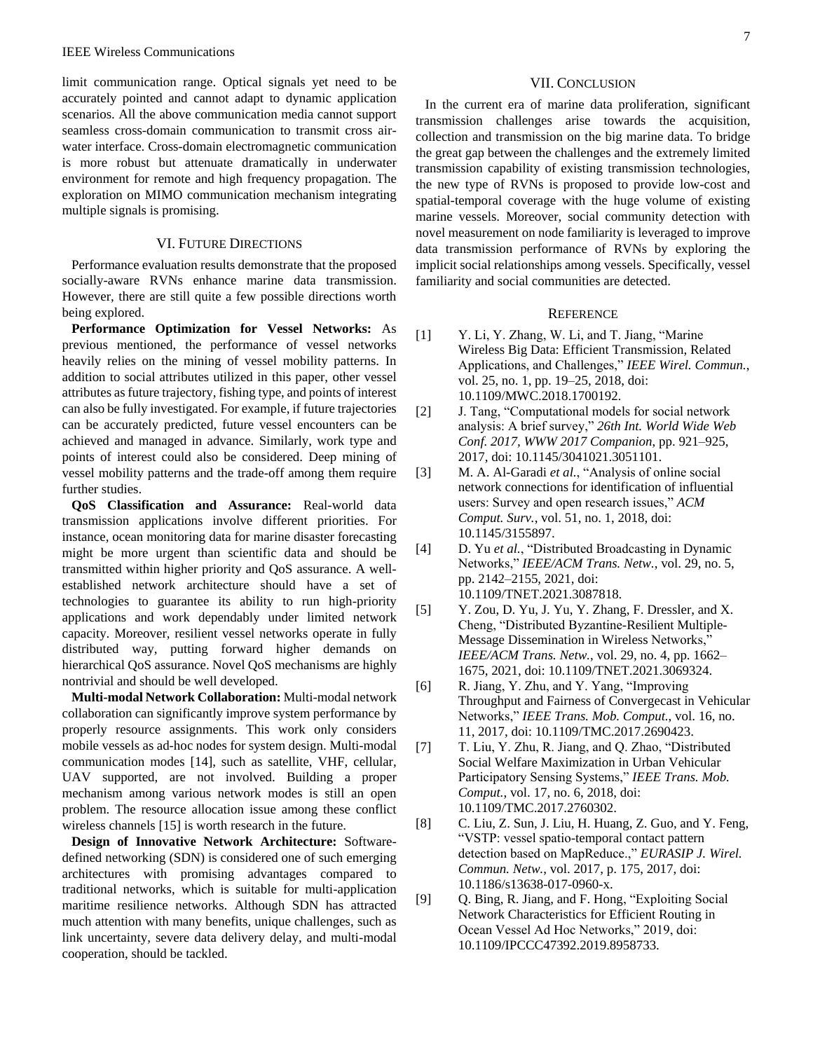limit communication range. Optical signals yet need to be accurately pointed and cannot adapt to dynamic application scenarios. All the above communication media cannot support seamless cross-domain communication to transmit cross airwater interface. Cross-domain electromagnetic communication is more robust but attenuate dramatically in underwater environment for remote and high frequency propagation. The exploration on MIMO communication mechanism integrating multiple signals is promising.

# VI. FUTURE DIRECTIONS

Performance evaluation results demonstrate that the proposed socially-aware RVNs enhance marine data transmission. However, there are still quite a few possible directions worth being explored.

**Performance Optimization for Vessel Networks:** As previous mentioned, the performance of vessel networks heavily relies on the mining of vessel mobility patterns. In addition to social attributes utilized in this paper, other vessel attributes as future trajectory, fishing type, and points of interest can also be fully investigated. For example, if future trajectories can be accurately predicted, future vessel encounters can be achieved and managed in advance. Similarly, work type and points of interest could also be considered. Deep mining of vessel mobility patterns and the trade-off among them require further studies.

**QoS Classification and Assurance:** Real-world data transmission applications involve different priorities. For instance, ocean monitoring data for marine disaster forecasting might be more urgent than scientific data and should be transmitted within higher priority and QoS assurance. A wellestablished network architecture should have a set of technologies to guarantee its ability to run high-priority applications and work dependably under limited network capacity. Moreover, resilient vessel networks operate in fully distributed way, putting forward higher demands on hierarchical QoS assurance. Novel QoS mechanisms are highly nontrivial and should be well developed.

**Multi-modal Network Collaboration:** Multi-modal network collaboration can significantly improve system performance by properly resource assignments. This work only considers mobile vessels as ad-hoc nodes for system design. Multi-modal communication modes [14], such as satellite, VHF, cellular, UAV supported, are not involved. Building a proper mechanism among various network modes is still an open problem. The resource allocation issue among these conflict wireless channels [15] is worth research in the future.

**Design of Innovative Network Architecture:** Softwaredefined networking (SDN) is considered one of such emerging architectures with promising advantages compared to traditional networks, which is suitable for multi-application maritime resilience networks. Although SDN has attracted much attention with many benefits, unique challenges, such as link uncertainty, severe data delivery delay, and multi-modal cooperation, should be tackled.

# VII. CONCLUSION

In the current era of marine data proliferation, significant transmission challenges arise towards the acquisition, collection and transmission on the big marine data. To bridge the great gap between the challenges and the extremely limited transmission capability of existing transmission technologies, the new type of RVNs is proposed to provide low-cost and spatial-temporal coverage with the huge volume of existing marine vessels. Moreover, social community detection with novel measurement on node familiarity is leveraged to improve data transmission performance of RVNs by exploring the implicit social relationships among vessels. Specifically, vessel familiarity and social communities are detected.

# **REFERENCE**

- [1] Y. Li, Y. Zhang, W. Li, and T. Jiang, "Marine Wireless Big Data: Efficient Transmission, Related Applications, and Challenges," *IEEE Wirel. Commun.*, vol. 25, no. 1, pp. 19–25, 2018, doi: 10.1109/MWC.2018.1700192.
- [2] J. Tang, "Computational models for social network analysis: A brief survey," *26th Int. World Wide Web Conf. 2017, WWW 2017 Companion*, pp. 921–925, 2017, doi: 10.1145/3041021.3051101.
- [3] M. A. Al-Garadi *et al.*, "Analysis of online social network connections for identification of influential users: Survey and open research issues," *ACM Comput. Surv.*, vol. 51, no. 1, 2018, doi: 10.1145/3155897.
- [4] D. Yu *et al.*, "Distributed Broadcasting in Dynamic Networks," *IEEE/ACM Trans. Netw.*, vol. 29, no. 5, pp. 2142–2155, 2021, doi: 10.1109/TNET.2021.3087818.
- [5] Y. Zou, D. Yu, J. Yu, Y. Zhang, F. Dressler, and X. Cheng, "Distributed Byzantine-Resilient Multiple-Message Dissemination in Wireless Networks," *IEEE/ACM Trans. Netw.*, vol. 29, no. 4, pp. 1662– 1675, 2021, doi: 10.1109/TNET.2021.3069324.
- [6] R. Jiang, Y. Zhu, and Y. Yang, "Improving Throughput and Fairness of Convergecast in Vehicular Networks," *IEEE Trans. Mob. Comput.*, vol. 16, no. 11, 2017, doi: 10.1109/TMC.2017.2690423.
- [7] T. Liu, Y. Zhu, R. Jiang, and Q. Zhao, "Distributed Social Welfare Maximization in Urban Vehicular Participatory Sensing Systems," *IEEE Trans. Mob. Comput.*, vol. 17, no. 6, 2018, doi: 10.1109/TMC.2017.2760302.
- [8] C. Liu, Z. Sun, J. Liu, H. Huang, Z. Guo, and Y. Feng, "VSTP: vessel spatio-temporal contact pattern detection based on MapReduce.," *EURASIP J. Wirel. Commun. Netw.*, vol. 2017, p. 175, 2017, doi: 10.1186/s13638-017-0960-x.
- [9] Q. Bing, R. Jiang, and F. Hong, "Exploiting Social Network Characteristics for Efficient Routing in Ocean Vessel Ad Hoc Networks," 2019, doi: 10.1109/IPCCC47392.2019.8958733.